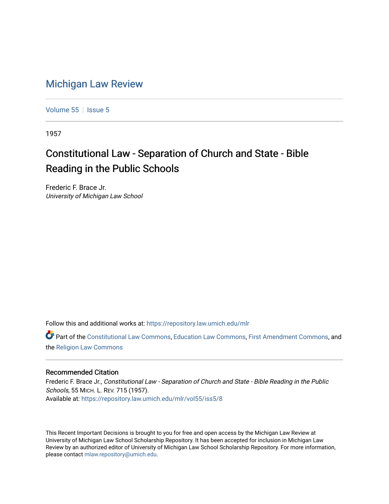## [Michigan Law Review](https://repository.law.umich.edu/mlr)

[Volume 55](https://repository.law.umich.edu/mlr/vol55) | [Issue 5](https://repository.law.umich.edu/mlr/vol55/iss5)

1957

## Constitutional Law - Separation of Church and State - Bible Reading in the Public Schools

Frederic F. Brace Jr. University of Michigan Law School

Follow this and additional works at: [https://repository.law.umich.edu/mlr](https://repository.law.umich.edu/mlr?utm_source=repository.law.umich.edu%2Fmlr%2Fvol55%2Fiss5%2F8&utm_medium=PDF&utm_campaign=PDFCoverPages) 

Part of the [Constitutional Law Commons,](http://network.bepress.com/hgg/discipline/589?utm_source=repository.law.umich.edu%2Fmlr%2Fvol55%2Fiss5%2F8&utm_medium=PDF&utm_campaign=PDFCoverPages) [Education Law Commons,](http://network.bepress.com/hgg/discipline/596?utm_source=repository.law.umich.edu%2Fmlr%2Fvol55%2Fiss5%2F8&utm_medium=PDF&utm_campaign=PDFCoverPages) [First Amendment Commons,](http://network.bepress.com/hgg/discipline/1115?utm_source=repository.law.umich.edu%2Fmlr%2Fvol55%2Fiss5%2F8&utm_medium=PDF&utm_campaign=PDFCoverPages) and the [Religion Law Commons](http://network.bepress.com/hgg/discipline/872?utm_source=repository.law.umich.edu%2Fmlr%2Fvol55%2Fiss5%2F8&utm_medium=PDF&utm_campaign=PDFCoverPages) 

## Recommended Citation

Frederic F. Brace Jr., Constitutional Law - Separation of Church and State - Bible Reading in the Public Schools, 55 MICH. L. REV. 715 (1957). Available at: [https://repository.law.umich.edu/mlr/vol55/iss5/8](https://repository.law.umich.edu/mlr/vol55/iss5/8?utm_source=repository.law.umich.edu%2Fmlr%2Fvol55%2Fiss5%2F8&utm_medium=PDF&utm_campaign=PDFCoverPages)

This Recent Important Decisions is brought to you for free and open access by the Michigan Law Review at University of Michigan Law School Scholarship Repository. It has been accepted for inclusion in Michigan Law Review by an authorized editor of University of Michigan Law School Scholarship Repository. For more information, please contact [mlaw.repository@umich.edu.](mailto:mlaw.repository@umich.edu)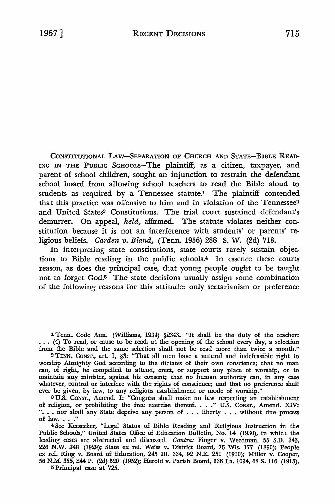CONSTITUTIONAL LAW-SEPARATION OF CHURCH AND STATE-BIBLE READ-ING IN THE PUBLIC SCHOOLS-The plaintiff, as a citizen, taxpayer, and parent of school children, sought an injunction to restrain the defendant school board from allowing school teachers to read the Bible aloud to students as required by a Tennessee statute.1 The plaintiff contended that this practice was offensive to him and in violation of the Tennessee<sup>2</sup> and United States<sup>3</sup> Constitutions. The trial court sustained defendant's demurrer. **On** appeal, *held,* affirmed. The statute violates neither constitution because it is not an interference with students' or parents' religious beliefs. *Carden v. Bland,* (Tenn. 1956) 288 **S. W.** (2d) 718.

In interpreting state constitutions, state courts rarely sustain objections to Bible reading in the public schools.4 In essence these courts reason, as does the principal case, that young people ought to be taught not to forget God.5 The state decisions usually assign some combination of the following reasons for this attitude: only sectarianism or preference

l Tenn. Code Ann. (Williams, 1934) §2343. "It shall be the duty of the teacher: ... (4) To read, or cause to be read, at the opening of the school every day, a selection from the Bible and the same selection shall not be read more than twice a month."

<sup>2</sup>TENN. CONST., art. 1, §3: "That all men have a natural and indefeasible right to worship Almighty God according to the dictates of their own conscience; that no man can, of right, be compelled to attend, erect, or support any place of worship, or to maintain any minister, against his consent; that no human authority can, in any case whatever, control or interfere with the rights of conscience; and that no preference shall ever be given, by law, to any religious establishment or mode of worship."

<sup>3</sup>U.S. CONST., Amend. I: "Congress shall make no law respecting an establishment of religion, or prohibiting the free exercise thereof ••.. " U.S. CONST., Amend. XIV: "... nor shall any State deprive any person of  $\dots$  liberty  $\dots$  without due process of law.  $\ldots$  ."

<sup>4</sup>See Keesecker, "Legal Status of Bible Reading and Religious Instruction in the Public Schools," United States Office of Education Bulletin, No. 14 (1930), in which the leading cases are abstracted and discussed. *Contra:* Finger v. Weedman, 55 S.D. 343, 226 N.W. 348 (1929); State ex rel. Weiss v. District Board, 76 Wis. 177 (1890); People ex rel. Ring v. Board of Education, 245 Ill. 334, 92 N.E. 251 (1910); Miller v. Cooper, 56 N.M. 355,244 P. (2d) 520 (1952); Herold v. Parish Board, 136 La. 1034, 68 S. 116 (1915).

5 Principal case at 725.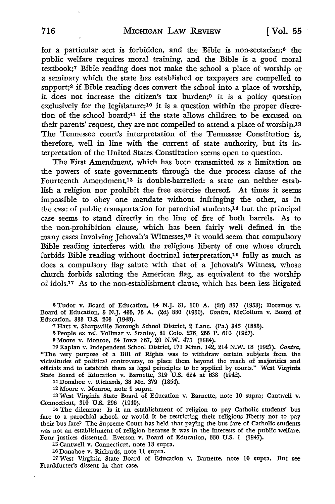for a particular sect is forbidden, and the Bible is non-sectarian;6 the public welfare requires moral training, and the Bible is a good moral textbook;7 Bible reading does not make the school a place of worship or a seminary which the state has established or taxpayers are compelled **to**  support;<sup>8</sup> if Bible reading does convert the school into a place of worship, it does not increase the citizen's tax burden;9 it is a policy question exclusively for the legislature;10 it is a question within the proper discretion of the school board;11 if the state allows children to be excused on their parents' request, they are not compelled to attend a place of worship.12 The Tennessee court's interpretation of the Tennessee Constitution is, therefore, well in line with the current of state authority, but its interpretation of the United States Constitution seems open to question.

The First Amendment, which has been transmitted as a limitation on the powers of state governments through the due process clause of the Fourteenth Amendment,13 is double-barrelled: a state can neither establish a religion nor prohibit the free exercise thereof. At times it seems impossible to obey one mandate without infringing the other, as in the case of public transportation for parochial students,14 but the principal case seems to stand directly in the line of fire of both barrels. As to the non-prohibition clause, which has been fairly well defined in the many cases involving Jehovah's Witnesses,<sup>15</sup> it would seem that compulsory Bible reading interferes with the religious liberty of one whose church forbids Bible reading without doctrinal interpretation,16 fully as much as does a compulsory flag salute with that of a Jehovah's Witness, whose church forbids saluting the American flag, as equivalent to the worship of idols.17 As to the non-establishment clause, which has been less litigated

6 Tudor v. Board of Education, 14 N.J. 31, 100 A. (2d) 857 (1953); Doremus v. Board of Education, 5 N.J. 435, 75 A. (2d) 880 (1950). *Contra,* McCollum v. Board of Education, 333 U.S. 203 (1948).

'1 Hart v. Sharpsville Borough School District, 2 Lane. (Pa.) 346 (1885).

s People ex rel. Vollmar v. Stanley, 81 Colo. 276, 255 P. 610 (1927).

9 Moore v. Monroe, 64 Iowa 367, 20 N.W. 475 (1884).

10 Kaplan v. Independent School District, 171 Minn. 142, 214 N.W. 18 (1927). *Contra,*  "The very purpose of a Bill of Rights was to withdraw certain subjects from the vicissitudes of political controversy, to place them beyond the reach of majorities and officials and to establish them as legal principles to be applied by courts." West Virginia State Board of Education v. Barnette, 319 U.S. 624 at 638 (1942).

11 Donahoe v. Richards, 38 Me. 379 (1854).

12 Moore v. Monroe, note 9 supra.

13 West Virginia State Board of Education v. Barnette, note 10 supra; Cantwell v.

Connecticut, 310 U.S. 296 (1940). 14 The dilemma: Is it an establishment of religion to pay Catholic students' bus fare to a parochial school, or would it be restricting their religious liberty not to pay their bus fare? The Supreme Court has held that paying the bus fare of Catholic students was not an establishment of religion because it was in the interests of the public welfare. Four justices dissented. Everson v. Board of Education, 330 U.S. I (1947).

15 Cantwell v. Connecticut, note 13 supra.

16 Donahoe v. Richards, note 11 supra.

17West Virginia State Board of Education v. Barnette, note 10 supra. But see Frankfurter's dissent in that case.